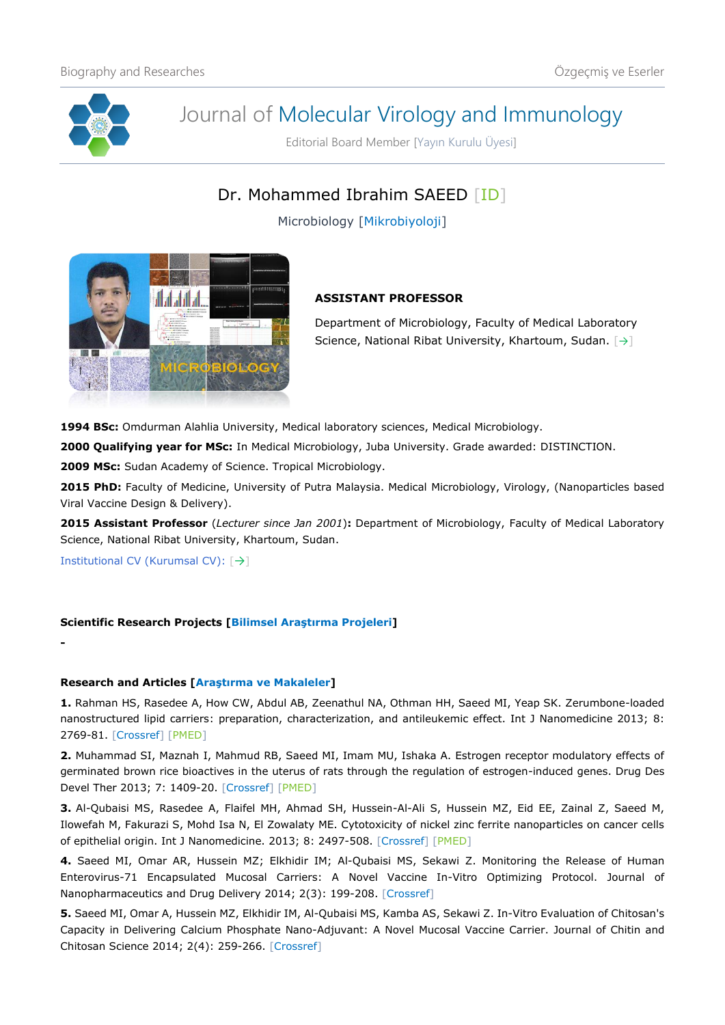

# Journal of Molecular Virology and Immunology

Editorial Board Member [Yayın Kurulu Üyesi]

# Dr. Mohammed Ibrahim SAEED [\[ID\]](https://orcid.org/0000-0002-3530-1351)

Microbiology [Mikrobiyoloji]



## **ASSISTANT PROFESSOR**

Department of Microbiology, Faculty of Medical Laboratory Science, National Ribat University, Khartoum, Sudan. [[→](http://laboratory.ribat.edu.sd/staff/list)]

**1994 BSc:** Omdurman Alahlia University, Medical laboratory sciences, Medical Microbiology.

**2000 Qualifying year for MSc:** In Medical Microbiology, Juba University. Grade awarded: DISTINCTION.

**2009 MSc:** Sudan Academy of Science. Tropical Microbiology.

**2015 PhD:** Faculty of Medicine, University of Putra Malaysia. Medical Microbiology, Virology, (Nanoparticles based Viral Vaccine Design & Delivery).

**2015 Assistant Professor** (*Lecturer since Jan 2001*)**:** Department of Microbiology, Faculty of Medical Laboratory Science, National Ribat University, Khartoum, Sudan.

Institutional CV (Kurumsal CV): [[→](http://laboratory.ribat.edu.sd/staff/profile/234)]

**-**

### **Scientific Research Projects [Bilimsel Araştırma Projeleri]**

### **Research and Articles [Araştırma ve Makaleler]**

**1.** Rahman HS, Rasedee A, How CW, Abdul AB, Zeenathul NA, Othman HH, Saeed MI, Yeap SK. Zerumbone-loaded nanostructured lipid carriers: preparation, characterization, and antileukemic effect. Int J Nanomedicine 2013; 8: 2769-81. [\[Crossref\]](https://doi.org/10.2147/IJN.S45313) [\[PMED\]](https://pubmed.ncbi.nlm.nih.gov/23946649/)

**2.** Muhammad SI, Maznah I, Mahmud RB, Saeed MI, Imam MU, Ishaka A. Estrogen receptor modulatory effects of germinated brown rice bioactives in the uterus of rats through the regulation of estrogen-induced genes. Drug Des Devel Ther 2013; 7: 1409-20. [\[Crossref\]](https://doi.org/10.2147/DDDT.S50861) [\[PMED\]](https://pubmed.ncbi.nlm.nih.gov/24324328/)

**3.** Al-Qubaisi MS, Rasedee A, Flaifel MH, Ahmad SH, Hussein-Al-Ali S, Hussein MZ, Eid EE, Zainal Z, Saeed M, Ilowefah M, Fakurazi S, Mohd Isa N, El Zowalaty ME. Cytotoxicity of nickel zinc ferrite nanoparticles on cancer cells of epithelial origin. Int J Nanomedicine. 2013; 8: 2497-508. [\[Crossref\]](https://doi.org/10.2147/IJN.S42367) [\[PMED\]](https://pubmed.ncbi.nlm.nih.gov/23885175/)

**4.** Saeed MI, Omar AR, Hussein MZ; Elkhidir IM; Al-Qubaisi MS, Sekawi Z. Monitoring the Release of Human Enterovirus-71 Encapsulated Mucosal Carriers: A Novel Vaccine In-Vitro Optimizing Protocol. Journal of Nanopharmaceutics and Drug Delivery 2014; 2(3): 199-208. [\[Crossref\]](https://doi.org/10.1166/jnd.2014.1059)

**5.** Saeed MI, Omar A, Hussein MZ, Elkhidir IM, Al-Qubaisi MS, Kamba AS, Sekawi Z. In-Vitro Evaluation of Chitosan's Capacity in Delivering Calcium Phosphate Nano-Adjuvant: A Novel Mucosal Vaccine Carrier. Journal of Chitin and Chitosan Science 2014; 2(4): 259-266. [\[Crossref\]](https://doi.org/10.1166/jcc.2014.1074)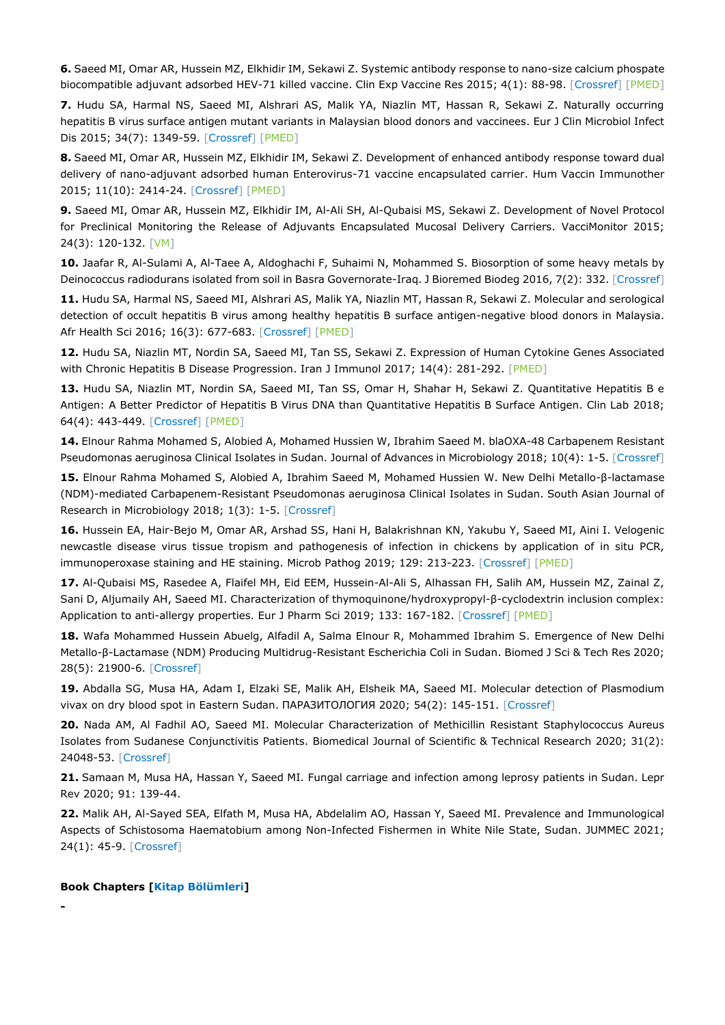**6.** Saeed MI, Omar AR, Hussein MZ, Elkhidir IM, Sekawi Z. Systemic antibody response to nano-size calcium phospate biocompatible adjuvant adsorbed HEV-71 killed vaccine. Clin Exp Vaccine Res 2015; 4(1): 88-98. [\[Crossref\]](https://doi.org/10.7774/cevr.2015.4.1.88) [\[PMED\]](https://pubmed.ncbi.nlm.nih.gov/25649429/)

**7.** Hudu SA, Harmal NS, Saeed MI, Alshrari AS, Malik YA, Niazlin MT, Hassan R, Sekawi Z. Naturally occurring hepatitis B virus surface antigen mutant variants in Malaysian blood donors and vaccinees. Eur J Clin Microbiol Infect Dis 2015; 34(7): 1349-59. [\[Crossref\]](https://doi.org/10.1007/s10096-015-2358-1) [\[PMED\]](https://pubmed.ncbi.nlm.nih.gov/25792010/)

**8.** Saeed MI, Omar AR, Hussein MZ, Elkhidir IM, Sekawi Z. Development of enhanced antibody response toward dual delivery of nano-adjuvant adsorbed human Enterovirus-71 vaccine encapsulated carrier. Hum Vaccin Immunother 2015; 11(10): 2414-24. [\[Crossref\]](https://doi.org/10.1080/21645515.2015.1052918) [\[PMED\]](https://pubmed.ncbi.nlm.nih.gov/26186664/)

**9.** Saeed MI, Omar AR, Hussein MZ, Elkhidir IM, Al-Ali SH, Al-Qubaisi MS, Sekawi Z. Development of Novel Protocol for Preclinical Monitoring the Release of Adjuvants Encapsulated Mucosal Delivery Carriers. VacciMonitor 2015; 24(3): 120-132. [\[VM\]](http://scielo.sld.cu/scielo.php?pid=S1025-028X2015000300004&script=sci_arttext&tlng=pt)

**10.** Jaafar R, Al-Sulami A, Al-Taee A, Aldoghachi F, Suhaimi N, Mohammed S. Biosorption of some heavy metals by Deinococcus radiodurans isolated from soil in Basra Governorate-Iraq. J Bioremed Biodeg 2016, 7(2): 332. [\[Crossref\]](https://doi.org/10.4172/2155-6199.1000332)

**11.** Hudu SA, Harmal NS, Saeed MI, Alshrari AS, Malik YA, Niazlin MT, Hassan R, Sekawi Z. Molecular and serological detection of occult hepatitis B virus among healthy hepatitis B surface antigen-negative blood donors in Malaysia. Afr Health Sci 2016; 16(3): 677-683. [\[Crossref\]](https://doi.org/10.4314/ahs.v16i3.6) [\[PMED\]](https://pubmed.ncbi.nlm.nih.gov/27917199/)

**12.** Hudu SA, Niazlin MT, Nordin SA, Saeed MI, Tan SS, Sekawi Z. Expression of Human Cytokine Genes Associated with Chronic Hepatitis B Disease Progression. Iran J Immunol 2017; 14(4): 281-292. [\[PMED\]](https://pubmed.ncbi.nlm.nih.gov/29276181/)

**13.** Hudu SA, Niazlin MT, Nordin SA, Saeed MI, Tan SS, Omar H, Shahar H, Sekawi Z. Quantitative Hepatitis B e Antigen: A Better Predictor of Hepatitis B Virus DNA than Quantitative Hepatitis B Surface Antigen. Clin Lab 2018; 64(4): 443-449. [\[Crossref\]](https://doi.org/10.7754/Clin.Lab.2017.170916) [\[PMED\]](https://pubmed.ncbi.nlm.nih.gov/29739076/)

**14.** Elnour Rahma Mohamed S, Alobied A, Mohamed Hussien W, Ibrahim Saeed M. blaOXA-48 Carbapenem Resistant Pseudomonas aeruginosa Clinical Isolates in Sudan. Journal of Advances in Microbiology 2018; 10(4): 1-5. [\[Crossref\]](https://doi.org/10.9734/JAMB/2018/34964)

**15.** Elnour Rahma Mohamed S, Alobied A, Ibrahim Saeed M, Mohamed Hussien W. New Delhi Metallo-β-lactamase (NDM)-mediated Carbapenem-Resistant Pseudomonas aeruginosa Clinical Isolates in Sudan. South Asian Journal of Research in Microbiology 2018; 1(3): 1-5. [\[Crossref\]](https://doi.org/10.9734/sajrm/2018/v1i3775)

**16.** Hussein EA, Hair-Bejo M, Omar AR, Arshad SS, Hani H, Balakrishnan KN, Yakubu Y, Saeed MI, Aini I. Velogenic newcastle disease virus tissue tropism and pathogenesis of infection in chickens by application of in situ PCR, immunoperoxase staining and HE staining. Microb Pathog 2019; 129: 213-223. [\[Crossref\]](https://doi.org/10.1016/j.micpath.2019.02.017) [\[PMED\]](https://pubmed.ncbi.nlm.nih.gov/30771470/)

**17.** Al-Qubaisi MS, Rasedee A, Flaifel MH, Eid EEM, Hussein-Al-Ali S, Alhassan FH, Salih AM, Hussein MZ, Zainal Z, Sani D, Aljumaily AH, Saeed MI. Characterization of thymoquinone/hydroxypropyl-β-cyclodextrin inclusion complex: Application to anti-allergy properties. Eur J Pharm Sci 2019; 133: 167-182. [\[Crossref\]](https://doi.org/10.1016/j.ejps.2019.03.015) [\[PMED\]](https://pubmed.ncbi.nlm.nih.gov/30902654/)

**18.** Wafa Mohammed Hussein Abuelg, Alfadil A, Salma Elnour R, Mohammed Ibrahim S. Emergence of New Delhi Metallo-β-Lactamase (NDM) Producing Multidrug-Resistant Escherichia Coli in Sudan. Biomed J Sci & Tech Res 2020; 28(5): 21900-6. [\[Crossref\]](https://doi.org/10.26717/BJSTR.2020.28.004700)

**19.** Abdalla SG, Musa HA, Adam I, Elzaki SE, Malik AH, Elsheik MA, Saeed MI. Molecular detection of Plasmodium vivax on dry blood spot in Eastern Sudan. ПАРАЗИТОЛОГИЯ 2020; 54(2): 145-151. [\[Crossref\]](https://doi.org/10.31857/S1234567806020054)

**20.** Nada AM, Al Fadhil AO, Saeed MI. Molecular Characterization of Methicillin Resistant Staphylococcus Aureus Isolates from Sudanese Conjunctivitis Patients. Biomedical Journal of Scientific & Technical Research 2020; 31(2): 24048-53. [\[Crossref\]](https://doi.org/10.26717/BJSTR.2020.31.005072)

**21.** Samaan M, Musa HA, Hassan Y, Saeed MI. Fungal carriage and infection among leprosy patients in Sudan. Lepr Rev 2020; 91: 139-44.

**22.** Malik AH, Al-Sayed SEA, Elfath M, Musa HA, Abdelalim AO, Hassan Y, Saeed MI. Prevalence and Immunological Aspects of Schistosoma Haematobium among Non-Infected Fishermen in White Nile State, Sudan. JUMMEC 2021; 24(1): 45-9. [\[Crossref\]](https://doi.org/10.22452/jummec.vol24no1.7)

#### **Book Chapters [Kitap Bölümleri]**

**-**